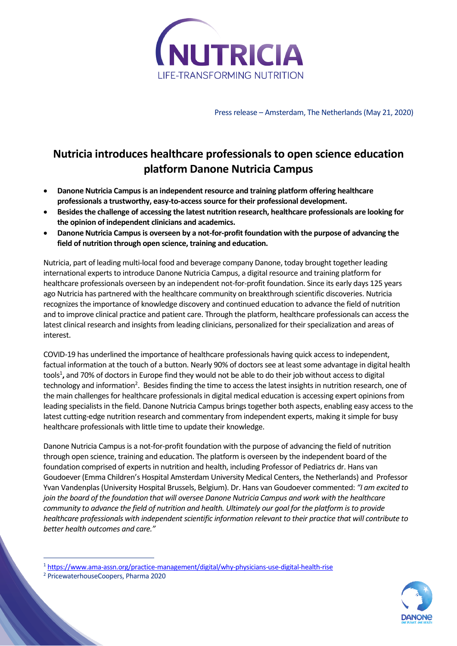

Press release – Amsterdam, The Netherlands (May 21, 2020)

## **Nutricia introduces healthcare professionals to open science education platform Danone Nutricia Campus**

- **Danone Nutricia Campusis an independent resource and training platform offering healthcare professionals a trustworthy, easy-to-access source for their professional development.**
- **Besides the challenge of accessing the latest nutrition research, healthcare professionals are looking for the opinion of independent clinicians and academics.**
- **Danone Nutricia Campus is overseen by a not-for-profit foundation with the purpose of advancing the field of nutrition through open science, training and education.**

Nutricia, part of leading multi-local food and beverage company Danone, today brought together leading international experts to introduce Danone Nutricia Campus, a digital resource and training platform for healthcare professionals overseen by an independent not-for-profit foundation. Since its early days 125 years ago Nutricia has partnered with the healthcare community on breakthrough scientific discoveries. Nutricia recognizes the importance of knowledge discovery and continued education to advance the field of nutrition and to improve clinical practice and patient care. Through the platform, healthcare professionals can access the latest clinical research and insights from leading clinicians, personalized for their specialization and areas of interest.

COVID-19 has underlined the importance of healthcare professionals having quick access to independent, factual information at the touch of a button. Nearly 90% of doctors see at least some advantage in digital health tools<sup>1</sup>, and 70% of doctors in Europe find they would not be able to do their job without access to digital technology and information<sup>2</sup>. Besides finding the time to access the latest insights in nutrition research, one of the main challenges for healthcare professionals in digital medical education is accessing expert opinions from leading specialists in the field. Danone Nutricia Campus brings together both aspects, enabling easy access to the latest cutting-edge nutrition research and commentary from independent experts, making it simple for busy healthcare professionals with little time to update their knowledge.

Danone Nutricia Campus is a not-for-profit foundation with the purpose of advancing the field of nutrition through open science, training and education. The platform is overseen by the independent board of the foundation comprised of experts in nutrition and health, including Professor of Pediatrics dr. Hans van Goudoever (Emma Children's Hospital Amsterdam University Medical Centers, the Netherlands) and Professor Yvan Vandenplas(University Hospital Brussels, Belgium). Dr. Hans van Goudoever commented: *"I am excited to join the board of the foundation that will oversee Danone Nutricia Campus and work with the healthcare community to advance the field of nutrition and health. Ultimately our goal for the platform is to provide healthcare professionals with independent scientific information relevant to their practice that will contribute to better health outcomes and care."*

<sup>2</sup> PricewaterhouseCoopers, Pharma 2020



<sup>1</sup> <https://www.ama-assn.org/practice-management/digital/why-physicians-use-digital-health-rise>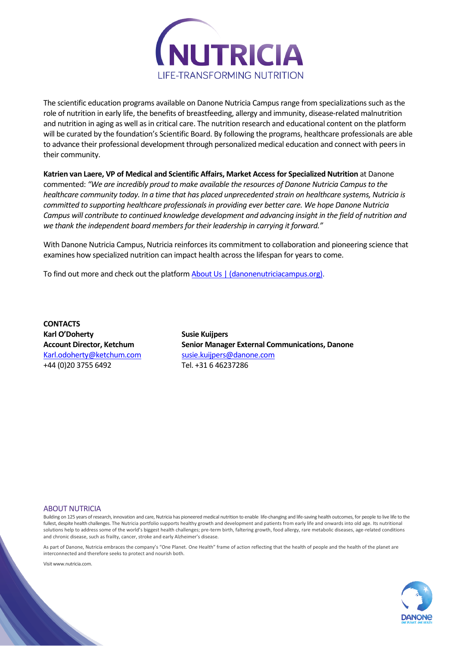

The scientific education programs available on Danone Nutricia Campus range from specializations such as the role of nutrition in early life, the benefits of breastfeeding, allergy and immunity, disease-related malnutrition and nutrition in aging as well as in critical care. The nutrition research and educational content on the platform will be curated by the foundation's Scientific Board. By following the programs, healthcare professionals are able to advance their professional development through personalized medical education and connect with peers in their community.

**Katrien van Laere, VP of Medical and Scientific Affairs, Market Access for Specialized Nutrition** at Danone commented: *"We are incredibly proud to make available the resources of Danone Nutricia Campus to the healthcare community today. In a time that has placed unprecedented strain on healthcare systems, Nutricia is committed to supporting healthcare professionals in providing ever better care. We hope Danone Nutricia Campus will contribute to continued knowledge development and advancing insight in the field of nutrition and we thank the independent board members for their leadership in carrying it forward."*

With Danone Nutricia Campus, Nutricia reinforces its commitment to collaboration and pioneering science that examines how specialized nutrition can impact health across the lifespan for years to come.

To find out more and check out the platform [About Us | \(danonenutriciacampus.org\).](https://www.danonenutriciacampus.org/who-we-are)

**CONTACTS Karl O'Doherty** *Susie Kuijpers* [Karl.odoherty@ketchum.com](mailto:Karl.odoherty@ketchum.com) [susie.kuijpers@danone.com](mailto:susie.kuijpers@danone.com) +44 (0)20 3755 6492 Tel. +31 6 46237286

**Account Director, Ketchum Senior Manager External Communications, Danone**

## ABOUT NUTRICIA

Building on 125 years of research, innovation and care, Nutricia has pioneered medical nutrition to enable life-changing and life-saving health outcomes, for people to live life to the fullest, despite health challenges. The Nutricia portfolio supports healthy growth and development and patients from early life and onwards into old age. Its nutritional solutions help to address some of the world's biggest health challenges; pre-term birth, faltering growth, food allergy, rare metabolic diseases, age-related conditions and chronic disease, such as frailty, cancer, stroke and early Alzheimer's disease.

As part of Danone, Nutricia embraces the company's "One Planet. One Health" frame of action reflecting that the health of people and the health of the planet are interconnected and therefore seeks to protect and nourish both.

Visit www.nutricia.com.